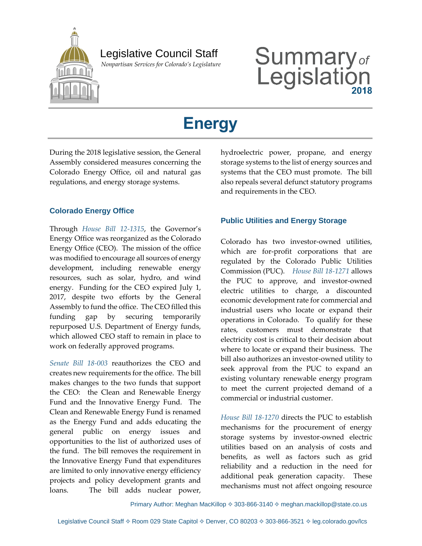

## Legislative Council Staff

 *Nonpartisan Services for Colorado's Legislature*

# Summary<sub>of</sub><br>Legislation

# **Energy**

During the 2018 legislative session, the General Assembly considered measures concerning the Colorado Energy Office, oil and natural gas regulations, and energy storage systems.

#### **Colorado Energy Office**

Through *House Bill 12-1315*, the Governor's Energy Office was reorganized as the Colorado Energy Office (CEO). The mission of the office was modified to encourage all sources of energy development, including renewable energy resources, such as solar, hydro, and wind energy. Funding for the CEO expired July 1, 2017, despite two efforts by the General Assembly to fund the office. The CEO filled this funding gap by securing temporarily repurposed U.S. Department of Energy funds, which allowed CEO staff to remain in place to work on federally approved programs.

*Senate Bill 18-003* reauthorizes the CEO and creates new requirements for the office. The bill makes changes to the two funds that support the CEO: the Clean and Renewable Energy Fund and the Innovative Energy Fund. The Clean and Renewable Energy Fund is renamed as the Energy Fund and adds educating the general public on energy issues and opportunities to the list of authorized uses of the fund. The bill removes the requirement in the Innovative Energy Fund that expenditures are limited to only innovative energy efficiency projects and policy development grants and loans. The bill adds nuclear power,

hydroelectric power, propane, and energy storage systems to the list of energy sources and systems that the CEO must promote. The bill also repeals several defunct statutory programs and requirements in the CEO.

#### **Public Utilities and Energy Storage**

Colorado has two investor-owned utilities, which are for-profit corporations that are regulated by the Colorado Public Utilities Commission (PUC). *House Bill 18-1271* allows the PUC to approve, and investor-owned electric utilities to charge, a discounted economic development rate for commercial and industrial users who locate or expand their operations in Colorado. To qualify for these rates, customers must demonstrate that electricity cost is critical to their decision about where to locate or expand their business. The bill also authorizes an investor-owned utility to seek approval from the PUC to expand an existing voluntary renewable energy program to meet the current projected demand of a commercial or industrial customer.

*House Bill 18-1270* directs the PUC to establish mechanisms for the procurement of energy storage systems by investor-owned electric utilities based on an analysis of costs and benefits, as well as factors such as grid reliability and a reduction in the need for additional peak generation capacity. These mechanisms must not affect ongoing resource